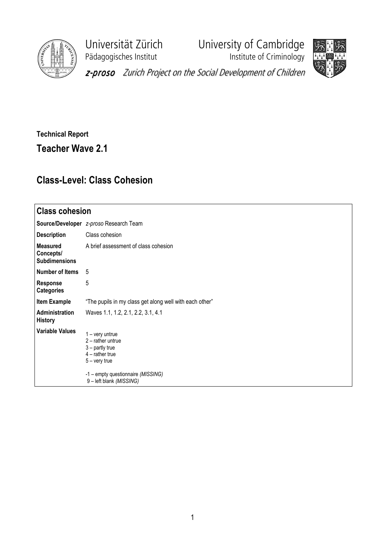

Pädagogisches Institut **Institute of Criminology** 

Universität Zürich University of Cambridge



z-proso Zurich Project on the Social Development of Children

Technical Report Teacher Wave 2.1

## Class-Level: Class Cohesion

| <b>Class cohesion</b>                                |                                                                                                                                                                       |  |  |  |  |
|------------------------------------------------------|-----------------------------------------------------------------------------------------------------------------------------------------------------------------------|--|--|--|--|
|                                                      | Source/Developer z-proso Research Team                                                                                                                                |  |  |  |  |
| <b>Description</b>                                   | Class cohesion                                                                                                                                                        |  |  |  |  |
| <b>Measured</b><br>Concepts/<br><b>Subdimensions</b> | A brief assessment of class cohesion                                                                                                                                  |  |  |  |  |
| Number of Items                                      | 5                                                                                                                                                                     |  |  |  |  |
| <b>Response</b><br><b>Categories</b>                 | 5                                                                                                                                                                     |  |  |  |  |
| <b>Item Example</b>                                  | "The pupils in my class get along well with each other"                                                                                                               |  |  |  |  |
| Administration<br><b>History</b>                     | Waves 1.1, 1.2, 2.1, 2.2, 3.1, 4.1                                                                                                                                    |  |  |  |  |
| <b>Variable Values</b>                               | $1 - \text{very}$<br>$2$ – rather untrue<br>$3$ – partly true<br>$4$ – rather true<br>$5 -$ very true<br>-1 - empty questionnaire (MISSING)<br>9-left blank (MISSING) |  |  |  |  |